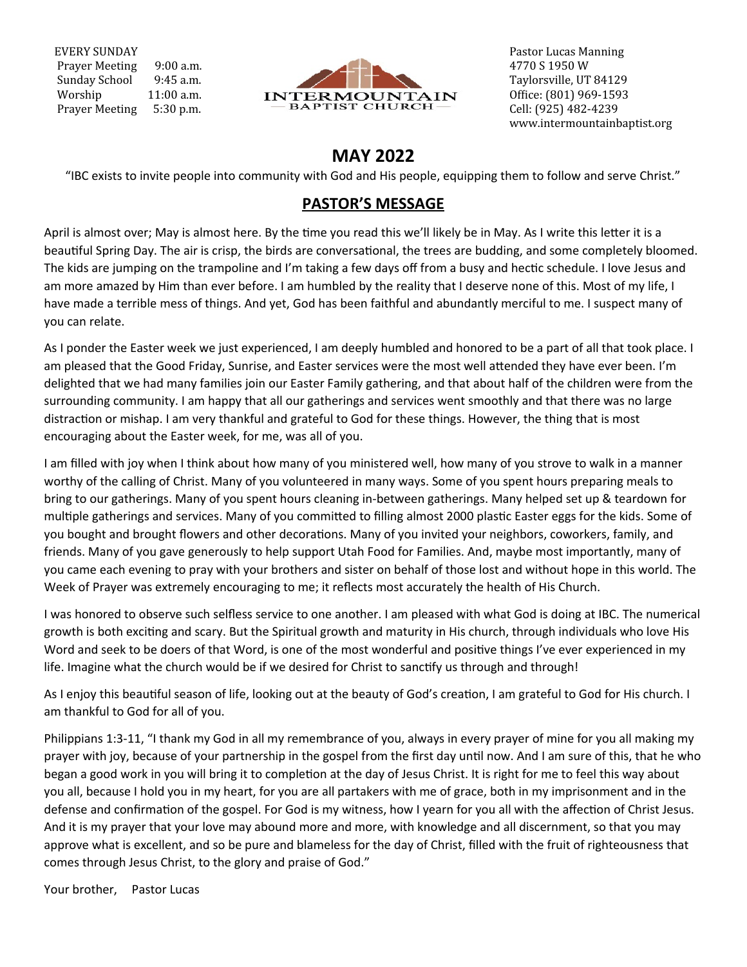EVERY SUNDAY Prayer Meeting 9:00 a.m. Sunday School 9:45 a.m. Worship 11:00 a.m. Prayer Meeting 5:30 p.m.



 Pastor Lucas Manning 4770 S 1950 W Taylorsville, UT 84129 Office: (801) 969-1593 Cell: (925) 482-4239 www.intermountainbaptist.org

# **MAY 2022**

"IBC exists to invite people into community with God and His people, equipping them to follow and serve Christ."

## **PASTOR'S MESSAGE**

April is almost over; May is almost here. By the time you read this we'll likely be in May. As I write this letter it is a beautiful Spring Day. The air is crisp, the birds are conversational, the trees are budding, and some completely bloomed. The kids are jumping on the trampoline and I'm taking a few days off from a busy and hectic schedule. I love Jesus and am more amazed by Him than ever before. I am humbled by the reality that I deserve none of this. Most of my life, I have made a terrible mess of things. And yet, God has been faithful and abundantly merciful to me. I suspect many of you can relate.

As I ponder the Easter week we just experienced, I am deeply humbled and honored to be a part of all that took place. I am pleased that the Good Friday, Sunrise, and Easter services were the most well attended they have ever been. I'm delighted that we had many families join our Easter Family gathering, and that about half of the children were from the surrounding community. I am happy that all our gatherings and services went smoothly and that there was no large distraction or mishap. I am very thankful and grateful to God for these things. However, the thing that is most encouraging about the Easter week, for me, was all of you.

I am filled with joy when I think about how many of you ministered well, how many of you strove to walk in a manner worthy of the calling of Christ. Many of you volunteered in many ways. Some of you spent hours preparing meals to bring to our gatherings. Many of you spent hours cleaning in-between gatherings. Many helped set up & teardown for multiple gatherings and services. Many of you committed to filling almost 2000 plastic Easter eggs for the kids. Some of you bought and brought flowers and other decorations. Many of you invited your neighbors, coworkers, family, and friends. Many of you gave generously to help support Utah Food for Families. And, maybe most importantly, many of you came each evening to pray with your brothers and sister on behalf of those lost and without hope in this world. The Week of Prayer was extremely encouraging to me; it reflects most accurately the health of His Church.

I was honored to observe such selfless service to one another. I am pleased with what God is doing at IBC. The numerical growth is both exciting and scary. But the Spiritual growth and maturity in His church, through individuals who love His Word and seek to be doers of that Word, is one of the most wonderful and positive things I've ever experienced in my life. Imagine what the church would be if we desired for Christ to sanctify us through and through!

As I enjoy this beautiful season of life, looking out at the beauty of God's creation, I am grateful to God for His church. I am thankful to God for all of you.

Philippians 1:3-11, "I thank my God in all my remembrance of you, always in every prayer of mine for you all making my prayer with joy, because of your partnership in the gospel from the first day until now. And I am sure of this, that he who began a good work in you will bring it to completion at the day of Jesus Christ. It is right for me to feel this way about you all, because I hold you in my heart, for you are all partakers with me of grace, both in my imprisonment and in the defense and confirmation of the gospel. For God is my witness, how I yearn for you all with the affection of Christ Jesus. And it is my prayer that your love may abound more and more, with knowledge and all discernment, so that you may approve what is excellent, and so be pure and blameless for the day of Christ, filled with the fruit of righteousness that comes through Jesus Christ, to the glory and praise of God."

Your brother, Pastor Lucas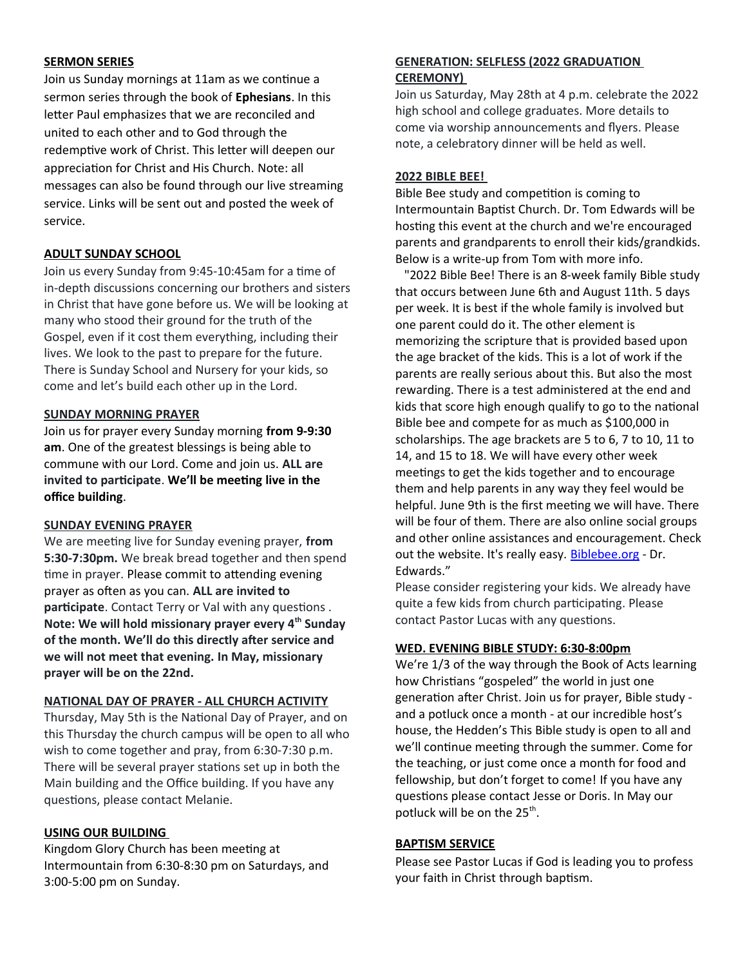#### **SERMON SERIES**

Join us Sunday mornings at 11am as we continue a sermon series through the book of **Ephesians**. In this letter Paul emphasizes that we are reconciled and united to each other and to God through the redemptive work of Christ. This letter will deepen our appreciation for Christ and His Church. Note: all messages can also be found through our live streaming service. Links will be sent out and posted the week of service.

## **ADULT SUNDAY SCHOOL**

Join us every Sunday from 9:45-10:45am for a time of in-depth discussions concerning our brothers and sisters in Christ that have gone before us. We will be looking at many who stood their ground for the truth of the Gospel, even if it cost them everything, including their lives. We look to the past to prepare for the future. There is Sunday School and Nursery for your kids, so come and let's build each other up in the Lord.

## **SUNDAY MORNING PRAYER**

Join us for prayer every Sunday morning **from 9-9:30 am**. One of the greatest blessings is being able to commune with our Lord. Come and join us. **ALL are invited to participate**. **We'll be meeting live in the office building**.

## **SUNDAY EVENING PRAYER**

We are meeting live for Sunday evening prayer, **from 5:30-7:30pm.** We break bread together and then spend time in prayer. Please commit to attending evening prayer as often as you can. **ALL are invited to participate**. Contact Terry or Val with any questions . **Note: We will hold missionary prayer every 4th Sunday of the month. We'll do this directly after service and we will not meet that evening. In May, missionary prayer will be on the 22nd.**

## **NATIONAL DAY OF PRAYER - ALL CHURCH ACTIVITY**

Thursday, May 5th is the National Day of Prayer, and on this Thursday the church campus will be open to all who wish to come together and pray, from 6:30-7:30 p.m. There will be several prayer stations set up in both the Main building and the Office building. If you have any questions, please contact Melanie.

## **USING OUR BUILDING**

Kingdom Glory Church has been meeting at Intermountain from 6:30-8:30 pm on Saturdays, and 3:00-5:00 pm on Sunday.

## **GENERATION: SELFLESS (2022 GRADUATION CEREMONY)**

Join us Saturday, May 28th at 4 p.m. celebrate the 2022 high school and college graduates. More details to come via worship announcements and flyers. Please note, a celebratory dinner will be held as well.

## **2022 BIBLE BEE!**

Bible Bee study and competition is coming to Intermountain Baptist Church. Dr. Tom Edwards will be hosting this event at the church and we're encouraged parents and grandparents to enroll their kids/grandkids. Below is a write-up from Tom with more info.

 "2022 Bible Bee! There is an 8-week family Bible study that occurs between June 6th and August 11th. 5 days per week. It is best if the whole family is involved but one parent could do it. The other element is memorizing the scripture that is provided based upon the age bracket of the kids. This is a lot of work if the parents are really serious about this. But also the most rewarding. There is a test administered at the end and kids that score high enough qualify to go to the national Bible bee and compete for as much as \$100,000 in scholarships. The age brackets are 5 to 6, 7 to 10, 11 to 14, and 15 to 18. We will have every other week meetings to get the kids together and to encourage them and help parents in any way they feel would be helpful. June 9th is the first meeting we will have. There will be four of them. There are also online social groups and other online assistances and encouragement. Check out the website. It's really easy. Biblebee.org - Dr. Edwards."

Please consider registering your kids. We already have quite a few kids from church participating. Please contact Pastor Lucas with any questions.

## **WED. EVENING BIBLE STUDY: 6:30-8:00pm**

We're 1/3 of the way through the Book of Acts learning how Christians "gospeled" the world in just one generation after Christ. Join us for prayer, Bible study and a potluck once a month - at our incredible host's house, the Hedden's This Bible study is open to all and we'll continue meeting through the summer. Come for the teaching, or just come once a month for food and fellowship, but don't forget to come! If you have any questions please contact Jesse or Doris. In May our potluck will be on the 25<sup>th</sup>.

## **BAPTISM SERVICE**

Please see Pastor Lucas if God is leading you to profess your faith in Christ through baptism.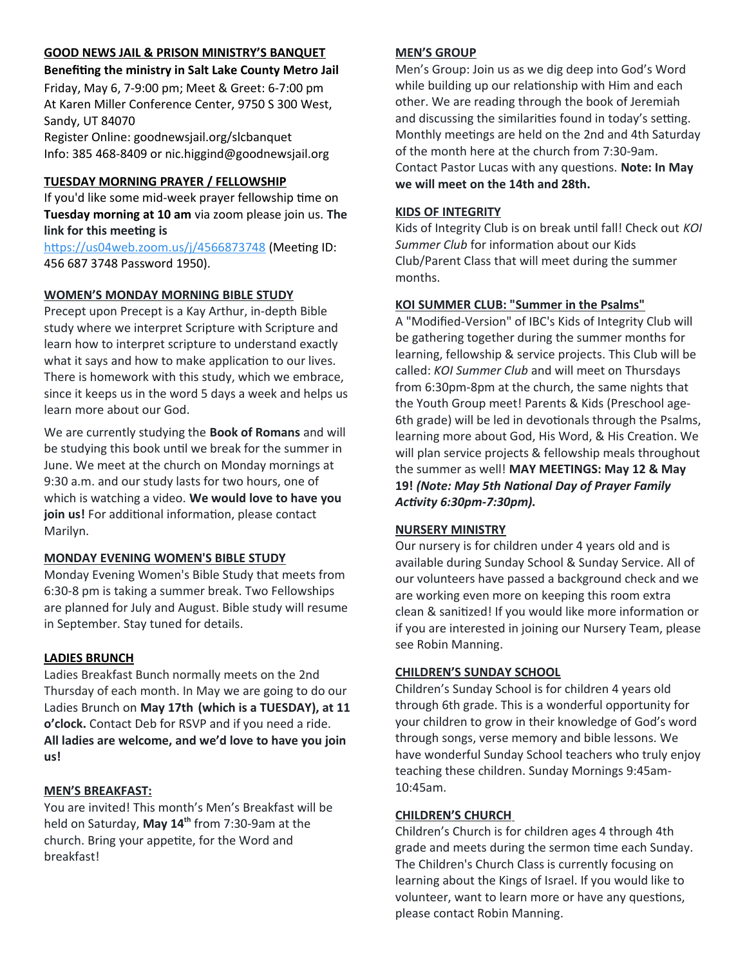## **GOOD NEWS JAIL & PRISON MINISTRY'S BANQUET**

**Benefiting the ministry in Salt Lake County Metro Jail**  Friday, May 6, 7-9:00 pm; Meet & Greet: 6-7:00 pm At Karen Miller Conference Center, 9750 S 300 West,

Sandy, UT 84070 Register Online: goodnewsjail.org/slcbanquet Info: 385 468-8409 or nic.higgind@goodnewsjail.org

## **TUESDAY MORNING PRAYER / FELLOWSHIP**

If you'd like some mid-week prayer fellowship time on **Tuesday morning at 10 am** via zoom please join us. **The link for this meeting is**

https://us04web.zoom.us/j/4566873748 (Meeting ID: 456 687 3748 Password 1950).

## **WOMEN'S MONDAY MORNING BIBLE STUDY**

Precept upon Precept is a Kay Arthur, in-depth Bible study where we interpret Scripture with Scripture and learn how to interpret scripture to understand exactly what it says and how to make application to our lives. There is homework with this study, which we embrace, since it keeps us in the word 5 days a week and helps us learn more about our God.

We are currently studying the **Book of Romans** and will be studying this book until we break for the summer in June. We meet at the church on Monday mornings at 9:30 a.m. and our study lasts for two hours, one of which is watching a video. **We would love to have you join us!** For additional information, please contact Marilyn.

## **MONDAY EVENING WOMEN'S BIBLE STUDY**

Monday Evening Women's Bible Study that meets from 6:30-8 pm is taking a summer break. Two Fellowships are planned for July and August. Bible study will resume in September. Stay tuned for details.

## **LADIES BRUNCH**

Ladies Breakfast Bunch normally meets on the 2nd Thursday of each month. In May we are going to do our Ladies Brunch on **May 17th (which is a TUESDAY), at 11 o'clock.** Contact Deb for RSVP and if you need a ride. **All ladies are welcome, and we'd love to have you join us!**

## **MEN'S BREAKFAST:**

You are invited! This month's Men's Breakfast will be held on Saturday, **May 14th** from 7:30-9am at the church. Bring your appetite, for the Word and breakfast!

## **MEN'S GROUP**

Men's Group: Join us as we dig deep into God's Word while building up our relationship with Him and each other. We are reading through the book of Jeremiah and discussing the similarities found in today's setting. Monthly meetings are held on the 2nd and 4th Saturday of the month here at the church from 7:30-9am. Contact Pastor Lucas with any questions. **Note: In May we will meet on the 14th and 28th.**

## **KIDS OF INTEGRITY**

Kids of Integrity Club is on break until fall! Check out *KOI Summer Club* for information about our Kids Club/Parent Class that will meet during the summer months.

## **KOI SUMMER CLUB: "Summer in the Psalms"**

A "Modified-Version" of IBC's Kids of Integrity Club will be gathering together during the summer months for learning, fellowship & service projects. This Club will be called: *KOI Summer Club* and will meet on Thursdays from 6:30pm-8pm at the church, the same nights that the Youth Group meet! Parents & Kids (Preschool age-6th grade) will be led in devotionals through the Psalms, learning more about God, His Word, & His Creation. We will plan service projects & fellowship meals throughout the summer as well! **MAY MEETINGS: May 12 & May 19!** *(Note: May 5th National Day of Prayer Family Activity 6:30pm-7:30pm).*

## **NURSERY MINISTRY**

Our nursery is for children under 4 years old and is available during Sunday School & Sunday Service. All of our volunteers have passed a background check and we are working even more on keeping this room extra clean & sanitized! If you would like more information or if you are interested in joining our Nursery Team, please see Robin Manning.

## **CHILDREN'S SUNDAY SCHOOL**

Children's Sunday School is for children 4 years old through 6th grade. This is a wonderful opportunity for your children to grow in their knowledge of God's word through songs, verse memory and bible lessons. We have wonderful Sunday School teachers who truly enjoy teaching these children. Sunday Mornings 9:45am-10:45am.

## **CHILDREN'S CHURCH**

Children's Church is for children ages 4 through 4th grade and meets during the sermon time each Sunday. The Children's Church Class is currently focusing on learning about the Kings of Israel. If you would like to volunteer, want to learn more or have any questions, please contact Robin Manning.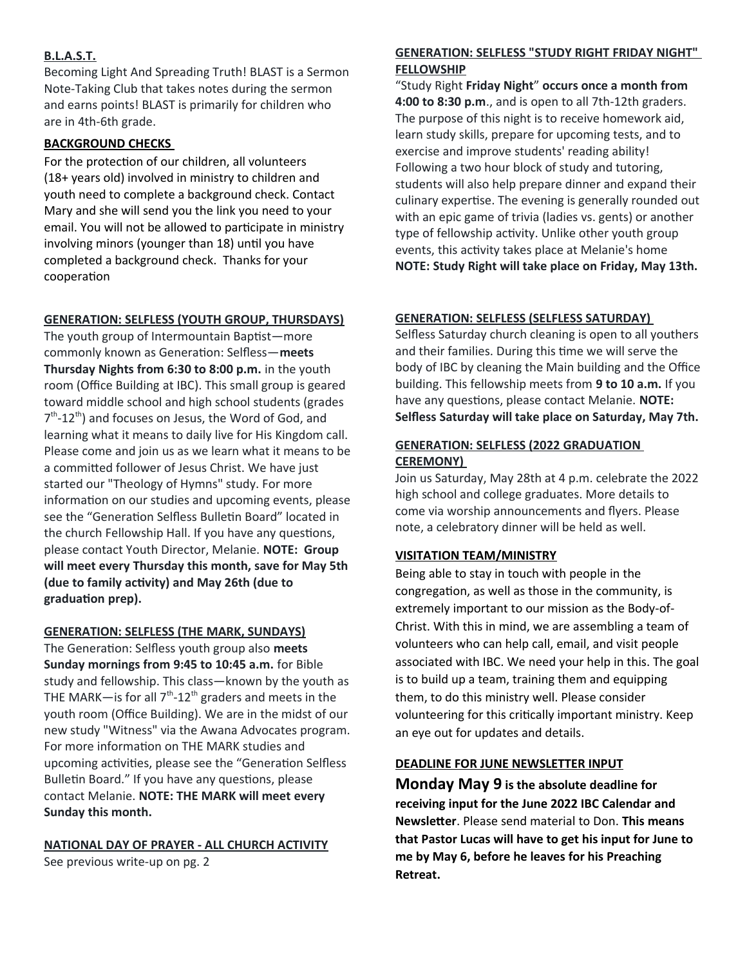## **B.L.A.S.T.**

Becoming Light And Spreading Truth! BLAST is a Sermon Note-Taking Club that takes notes during the sermon and earns points! BLAST is primarily for children who are in 4th-6th grade.

## **BACKGROUND CHECKS**

For the protection of our children, all volunteers (18+ years old) involved in ministry to children and youth need to complete a background check. Contact Mary and she will send you the link you need to your email. You will not be allowed to participate in ministry involving minors (younger than 18) until you have completed a background check. Thanks for your cooperation

#### **GENERATION: SELFLESS (YOUTH GROUP, THURSDAYS)**

The youth group of Intermountain Baptist—more commonly known as Generation: Selfless—**meets Thursday Nights from 6:30 to 8:00 p.m.** in the youth room (Office Building at IBC). This small group is geared toward middle school and high school students (grades 7<sup>th</sup>-12<sup>th</sup>) and focuses on Jesus, the Word of God, and learning what it means to daily live for His Kingdom call. Please come and join us as we learn what it means to be a committed follower of Jesus Christ. We have just started our "Theology of Hymns" study. For more information on our studies and upcoming events, please see the "Generation Selfless Bulletin Board" located in the church Fellowship Hall. If you have any questions, please contact Youth Director, Melanie. **NOTE: Group will meet every Thursday this month, save for May 5th (due to family activity) and May 26th (due to graduation prep).**

## **GENERATION: SELFLESS (THE MARK, SUNDAYS)**

The Generation: Selfless youth group also **meets Sunday mornings from 9:45 to 10:45 a.m.** for Bible study and fellowship. This class—known by the youth as THE MARK-is for all  $7<sup>th</sup>$ -12<sup>th</sup> graders and meets in the youth room (Office Building). We are in the midst of our new study "Witness" via the Awana Advocates program. For more information on THE MARK studies and upcoming activities, please see the "Generation Selfless Bulletin Board." If you have any questions, please contact Melanie. **NOTE: THE MARK will meet every Sunday this month.**

## **NATIONAL DAY OF PRAYER - ALL CHURCH ACTIVITY**

See previous write-up on pg. 2

## **GENERATION: SELFLESS "STUDY RIGHT FRIDAY NIGHT" FELLOWSHIP**

"Study Right **Friday Night**" **occurs once a month from 4:00 to 8:30 p.m**., and is open to all 7th-12th graders. The purpose of this night is to receive homework aid, learn study skills, prepare for upcoming tests, and to exercise and improve students' reading ability! Following a two hour block of study and tutoring, students will also help prepare dinner and expand their culinary expertise. The evening is generally rounded out with an epic game of trivia (ladies vs. gents) or another type of fellowship activity. Unlike other youth group events, this activity takes place at Melanie's home **NOTE: Study Right will take place on Friday, May 13th.**

## **GENERATION: SELFLESS (SELFLESS SATURDAY)**

Selfless Saturday church cleaning is open to all youthers and their families. During this time we will serve the body of IBC by cleaning the Main building and the Office building. This fellowship meets from **9 to 10 a.m.** If you have any questions, please contact Melanie. **NOTE: Selfless Saturday will take place on Saturday, May 7th.**

## **GENERATION: SELFLESS (2022 GRADUATION CEREMONY)**

Join us Saturday, May 28th at 4 p.m. celebrate the 2022 high school and college graduates. More details to come via worship announcements and flyers. Please note, a celebratory dinner will be held as well.

## **VISITATION TEAM/MINISTRY**

Being able to stay in touch with people in the congregation, as well as those in the community, is extremely important to our mission as the Body-of-Christ. With this in mind, we are assembling a team of volunteers who can help call, email, and visit people associated with IBC. We need your help in this. The goal is to build up a team, training them and equipping them, to do this ministry well. Please consider volunteering for this critically important ministry. Keep an eye out for updates and details.

## **DEADLINE FOR JUNE NEWSLETTER INPUT**

**Monday May 9 is the absolute deadline for receiving input for the June 2022 IBC Calendar and Newsletter**. Please send material to Don. **This means that Pastor Lucas will have to get his input for June to me by May 6, before he leaves for his Preaching Retreat.**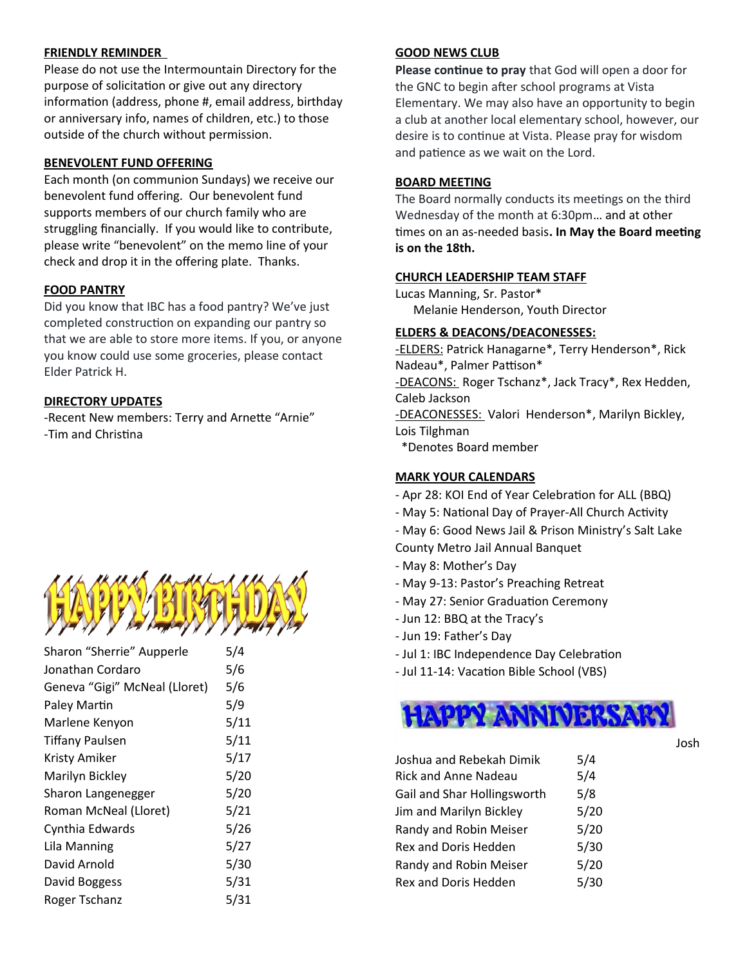#### **FRIENDLY REMINDER**

Please do not use the Intermountain Directory for the purpose of solicitation or give out any directory information (address, phone #, email address, birthday or anniversary info, names of children, etc.) to those outside of the church without permission.

## **BENEVOLENT FUND OFFERING**

Each month (on communion Sundays) we receive our benevolent fund offering. Our benevolent fund supports members of our church family who are struggling financially. If you would like to contribute, please write "benevolent" on the memo line of your check and drop it in the offering plate. Thanks.

#### **FOOD PANTRY**

Did you know that IBC has a food pantry? We've just completed construction on expanding our pantry so that we are able to store more items. If you, or anyone you know could use some groceries, please contact Elder Patrick H.

#### **DIRECTORY UPDATES**

-Recent New members: Terry and Arnette "Arnie" -Tim and Christina



| Sharon "Sherrie" Aupperle     | 5/4  |  |  |
|-------------------------------|------|--|--|
| Jonathan Cordaro              | 5/6  |  |  |
| Geneva "Gigi" McNeal (Lloret) | 5/6  |  |  |
| Paley Martin                  | 5/9  |  |  |
| Marlene Kenyon                | 5/11 |  |  |
| <b>Tiffany Paulsen</b>        | 5/11 |  |  |
| Kristy Amiker                 | 5/17 |  |  |
| Marilyn Bickley               | 5/20 |  |  |
| Sharon Langenegger            | 5/20 |  |  |
| Roman McNeal (Lloret)         | 5/21 |  |  |
| Cynthia Edwards               | 5/26 |  |  |
| Lila Manning                  | 5/27 |  |  |
| David Arnold                  | 5/30 |  |  |
| David Boggess                 | 5/31 |  |  |
| Roger Tschanz                 | 5/31 |  |  |

#### **GOOD NEWS CLUB**

**Please continue to pray** that God will open a door for the GNC to begin after school programs at Vista Elementary. We may also have an opportunity to begin a club at another local elementary school, however, our desire is to continue at Vista. Please pray for wisdom and patience as we wait on the Lord.

#### **BOARD MEETING**

The Board normally conducts its meetings on the third Wednesday of the month at 6:30pm… and at other times on an as-needed basis**. In May the Board meeting is on the 18th.**

## **CHURCH LEADERSHIP TEAM STAFF**

Lucas Manning, Sr. Pastor\* Melanie Henderson, Youth Director

#### **ELDERS & DEACONS/DEACONESSES:**

-ELDERS: Patrick Hanagarne\*, Terry Henderson\*, Rick Nadeau\*, Palmer Pattison\* -DEACONS: Roger Tschanz\*, Jack Tracy\*, Rex Hedden, Caleb Jackson -DEACONESSES: Valori Henderson\*, Marilyn Bickley, Lois Tilghman \*Denotes Board member

## **MARK YOUR CALENDARS**

- Apr 28: KOI End of Year Celebration for ALL (BBQ)
- May 5: National Day of Prayer-All Church Activity
- May 6: Good News Jail & Prison Ministry's Salt Lake
- County Metro Jail Annual Banquet
- May 8: Mother's Day
- May 9-13: Pastor's Preaching Retreat
- May 27: Senior Graduation Ceremony
- Jun 12: BBQ at the Tracy's
- Jun 19: Father's Day
- Jul 1: IBC Independence Day Celebration
- Jul 11-14: Vacation Bible School (VBS)



| Joshua and Rebekah Dimik    | 5/4  |
|-----------------------------|------|
| <b>Rick and Anne Nadeau</b> | 5/4  |
| Gail and Shar Hollingsworth | 5/8  |
| Jim and Marilyn Bickley     | 5/20 |
| Randy and Robin Meiser      | 5/20 |
| Rex and Doris Hedden        | 5/30 |
| Randy and Robin Meiser      | 5/20 |
| Rex and Doris Hedden        | 5/30 |

Josh